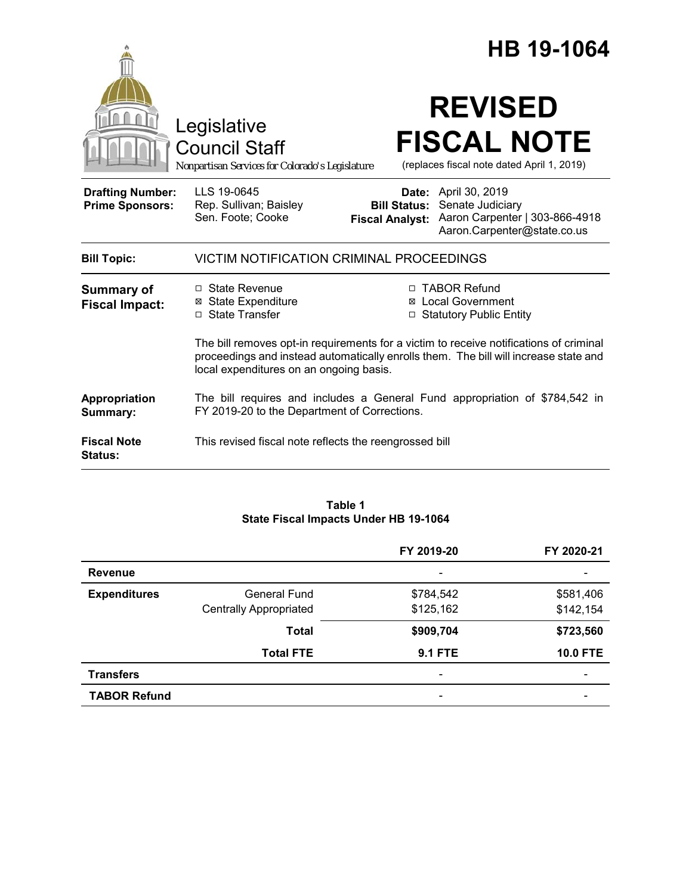|                                                   |                                                                                                                                                                                                                           |                     | HB 19-1064                                                                                                                       |
|---------------------------------------------------|---------------------------------------------------------------------------------------------------------------------------------------------------------------------------------------------------------------------------|---------------------|----------------------------------------------------------------------------------------------------------------------------------|
|                                                   | Legislative<br><b>Council Staff</b><br>Nonpartisan Services for Colorado's Legislature                                                                                                                                    |                     | <b>REVISED</b><br><b>FISCAL NOTE</b><br>(replaces fiscal note dated April 1, 2019)                                               |
| <b>Drafting Number:</b><br><b>Prime Sponsors:</b> | LLS 19-0645<br>Rep. Sullivan; Baisley<br>Sen. Foote; Cooke                                                                                                                                                                | <b>Bill Status:</b> | <b>Date:</b> April 30, 2019<br>Senate Judiciary<br>Fiscal Analyst: Aaron Carpenter   303-866-4918<br>Aaron.Carpenter@state.co.us |
| <b>Bill Topic:</b>                                | VICTIM NOTIFICATION CRIMINAL PROCEEDINGS                                                                                                                                                                                  |                     |                                                                                                                                  |
| <b>Summary of</b><br><b>Fiscal Impact:</b>        | □ State Revenue<br><b>⊠</b> State Expenditure<br>□ State Transfer                                                                                                                                                         | ⊠<br>$\Box$         | □ TABOR Refund<br><b>Local Government</b><br><b>Statutory Public Entity</b>                                                      |
|                                                   | The bill removes opt-in requirements for a victim to receive notifications of criminal<br>proceedings and instead automatically enrolls them. The bill will increase state and<br>local expenditures on an ongoing basis. |                     |                                                                                                                                  |
| Appropriation<br>Summary:                         | The bill requires and includes a General Fund appropriation of \$784,542 in<br>FY 2019-20 to the Department of Corrections.                                                                                               |                     |                                                                                                                                  |
| <b>Fiscal Note</b><br><b>Status:</b>              | This revised fiscal note reflects the reengrossed bill                                                                                                                                                                    |                     |                                                                                                                                  |

### **Table 1 State Fiscal Impacts Under HB 19-1064**

|                     |                               | FY 2019-20               | FY 2020-21      |
|---------------------|-------------------------------|--------------------------|-----------------|
| <b>Revenue</b>      |                               | $\overline{\phantom{a}}$ |                 |
| <b>Expenditures</b> | General Fund                  | \$784,542                | \$581,406       |
|                     | <b>Centrally Appropriated</b> | \$125,162                | \$142,154       |
|                     | <b>Total</b>                  | \$909,704                | \$723,560       |
|                     | <b>Total FTE</b>              | <b>9.1 FTE</b>           | <b>10.0 FTE</b> |
| <b>Transfers</b>    |                               |                          |                 |
| <b>TABOR Refund</b> |                               |                          |                 |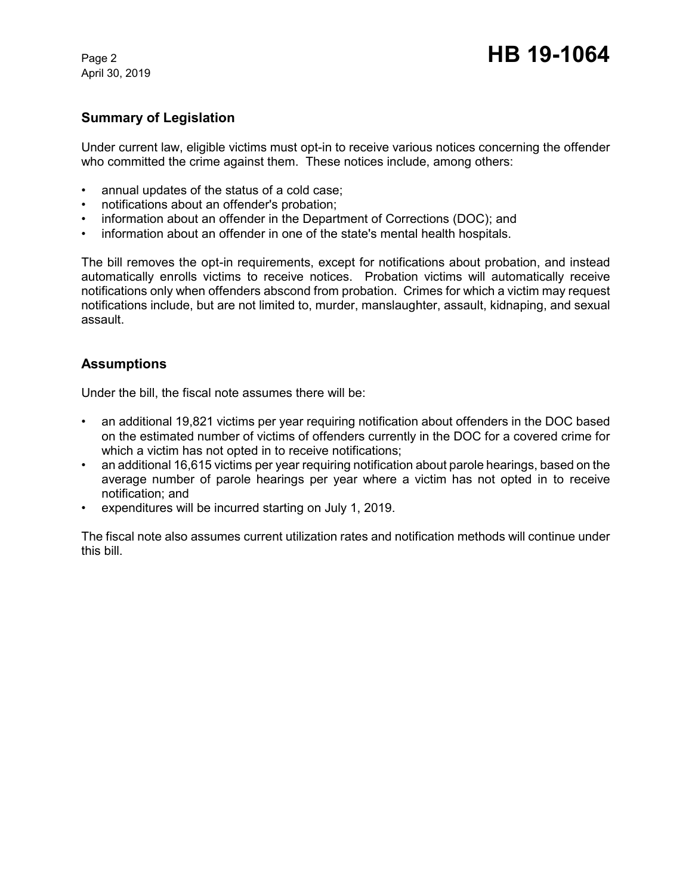April 30, 2019

# **Summary of Legislation**

Under current law, eligible victims must opt-in to receive various notices concerning the offender who committed the crime against them. These notices include, among others:

- annual updates of the status of a cold case;
- notifications about an offender's probation;
- information about an offender in the Department of Corrections (DOC); and
- information about an offender in one of the state's mental health hospitals.

The bill removes the opt-in requirements, except for notifications about probation, and instead automatically enrolls victims to receive notices. Probation victims will automatically receive notifications only when offenders abscond from probation. Crimes for which a victim may request notifications include, but are not limited to, murder, manslaughter, assault, kidnaping, and sexual assault.

## **Assumptions**

Under the bill, the fiscal note assumes there will be:

- an additional 19,821 victims per year requiring notification about offenders in the DOC based on the estimated number of victims of offenders currently in the DOC for a covered crime for which a victim has not opted in to receive notifications;
- an additional 16,615 victims per year requiring notification about parole hearings, based on the average number of parole hearings per year where a victim has not opted in to receive notification; and
- expenditures will be incurred starting on July 1, 2019.

The fiscal note also assumes current utilization rates and notification methods will continue under this bill.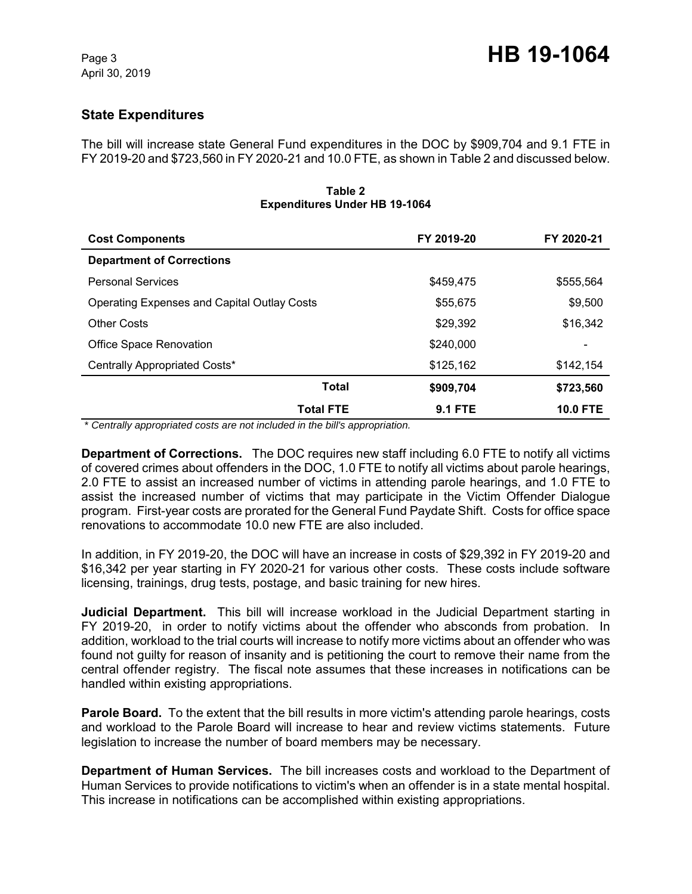# **State Expenditures**

The bill will increase state General Fund expenditures in the DOC by \$909,704 and 9.1 FTE in FY 2019-20 and \$723,560 in FY 2020-21 and 10.0 FTE, as shown in Table 2 and discussed below.

| Table 2<br><b>Expenditures Under HB 19-1064</b>    |                |                 |  |  |  |
|----------------------------------------------------|----------------|-----------------|--|--|--|
| <b>Cost Components</b>                             | FY 2019-20     | FY 2020-21      |  |  |  |
| <b>Department of Corrections</b>                   |                |                 |  |  |  |
| <b>Personal Services</b>                           | \$459,475      | \$555,564       |  |  |  |
| <b>Operating Expenses and Capital Outlay Costs</b> | \$55,675       | \$9,500         |  |  |  |
| <b>Other Costs</b>                                 | \$29,392       | \$16,342        |  |  |  |
| <b>Office Space Renovation</b>                     | \$240,000      |                 |  |  |  |
| Centrally Appropriated Costs*                      | \$125,162      | \$142,154       |  |  |  |
| <b>Total</b>                                       | \$909,704      | \$723,560       |  |  |  |
| <b>Total FTE</b>                                   | <b>9.1 FTE</b> | <b>10.0 FTE</b> |  |  |  |

 *\* Centrally appropriated costs are not included in the bill's appropriation.*

**Department of Corrections.** The DOC requires new staff including 6.0 FTE to notify all victims of covered crimes about offenders in the DOC, 1.0 FTE to notify all victims about parole hearings, 2.0 FTE to assist an increased number of victims in attending parole hearings, and 1.0 FTE to assist the increased number of victims that may participate in the Victim Offender Dialogue program. First-year costs are prorated for the General Fund Paydate Shift. Costs for office space renovations to accommodate 10.0 new FTE are also included.

In addition, in FY 2019-20, the DOC will have an increase in costs of \$29,392 in FY 2019-20 and \$16,342 per year starting in FY 2020-21 for various other costs. These costs include software licensing, trainings, drug tests, postage, and basic training for new hires.

**Judicial Department.** This bill will increase workload in the Judicial Department starting in FY 2019-20, in order to notify victims about the offender who absconds from probation. In addition, workload to the trial courts will increase to notify more victims about an offender who was found not guilty for reason of insanity and is petitioning the court to remove their name from the central offender registry. The fiscal note assumes that these increases in notifications can be handled within existing appropriations.

**Parole Board.** To the extent that the bill results in more victim's attending parole hearings, costs and workload to the Parole Board will increase to hear and review victims statements. Future legislation to increase the number of board members may be necessary.

**Department of Human Services.** The bill increases costs and workload to the Department of Human Services to provide notifications to victim's when an offender is in a state mental hospital. This increase in notifications can be accomplished within existing appropriations.